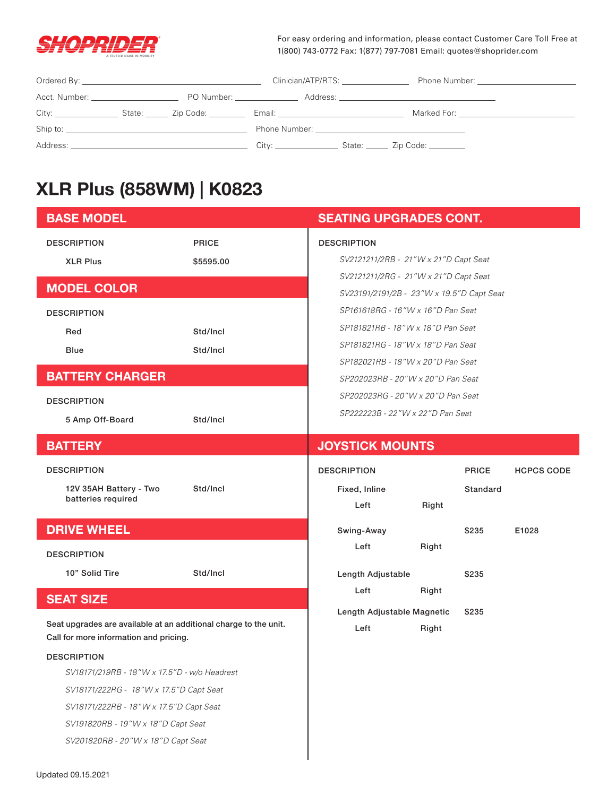

For easy ordering and information, please contact Customer Care Toll Free at 1(800) 743-0772 Fax: 1(877) 797-7081 Email: quotes@shoprider.com

|                                                                                                                                                                                                                                | Clinician/ATP/RTS:                                                                                                                                                                                                            | Phone Number: The Contract of the Contract of the Contract of the Contract of the Contract of the Contract of the Contract of the Contract of the Contract of the Contract of the Contract of the Contract of the Contract of |
|--------------------------------------------------------------------------------------------------------------------------------------------------------------------------------------------------------------------------------|-------------------------------------------------------------------------------------------------------------------------------------------------------------------------------------------------------------------------------|-------------------------------------------------------------------------------------------------------------------------------------------------------------------------------------------------------------------------------|
| Acct. Number: _______________________                                                                                                                                                                                          |                                                                                                                                                                                                                               |                                                                                                                                                                                                                               |
|                                                                                                                                                                                                                                | Email: Email: All and the second second second second second second second second second second second second second second second second second second second second second second second second second second second second |                                                                                                                                                                                                                               |
| Ship to: the contract of the contract of the contract of the contract of the contract of the contract of the contract of the contract of the contract of the contract of the contract of the contract of the contract of the c |                                                                                                                                                                                                                               |                                                                                                                                                                                                                               |
|                                                                                                                                                                                                                                | City: _________________                                                                                                                                                                                                       | State: <u>Zip Code:</u>                                                                                                                                                                                                       |

# **XLR Plus (858WM) | K0823**

| <b>BASE MODEL</b>                                                                                          |              | <b>SEATING UPGRADES CONT.</b>             |       |              |                   |
|------------------------------------------------------------------------------------------------------------|--------------|-------------------------------------------|-------|--------------|-------------------|
| <b>DESCRIPTION</b>                                                                                         | <b>PRICE</b> | <b>DESCRIPTION</b>                        |       |              |                   |
| <b>XLR Plus</b>                                                                                            | \$5595.00    | SV2121211/2RB - 21"W x 21"D Capt Seat     |       |              |                   |
| <b>MODEL COLOR</b>                                                                                         |              | SV2121211/2RG - 21"W x 21"D Capt Seat     |       |              |                   |
|                                                                                                            |              | SV23191/2191/2B - 23"W x 19.5"D Capt Seat |       |              |                   |
| <b>DESCRIPTION</b>                                                                                         |              | SP161618RG - 16"W x 16"D Pan Seat         |       |              |                   |
| Red                                                                                                        | Std/Incl     | SP181821RB - 18"W x 18"D Pan Seat         |       |              |                   |
| <b>Blue</b>                                                                                                | Std/Incl     | SP181821RG - 18"W x 18"D Pan Seat         |       |              |                   |
|                                                                                                            |              | SP182021RB - 18"W x 20"D Pan Seat         |       |              |                   |
| <b>BATTERY CHARGER</b>                                                                                     |              | SP202023RB - 20"W x 20"D Pan Seat         |       |              |                   |
| <b>DESCRIPTION</b>                                                                                         |              | SP202023RG - 20"W x 20"D Pan Seat         |       |              |                   |
| 5 Amp Off-Board                                                                                            | Std/Incl     | SP222223B - 22"W x 22"D Pan Seat          |       |              |                   |
| <b>BATTERY</b>                                                                                             |              | <b>JOYSTICK MOUNTS</b>                    |       |              |                   |
| <b>DESCRIPTION</b>                                                                                         |              | <b>DESCRIPTION</b>                        |       | <b>PRICE</b> | <b>HCPCS CODE</b> |
| 12V 35AH Battery - Two                                                                                     | Std/Incl     | Fixed, Inline                             |       | Standard     |                   |
| batteries required                                                                                         |              | Left                                      | Right |              |                   |
| <b>DRIVE WHEEL</b>                                                                                         |              | Swing-Away                                |       | \$235        | E1028             |
| <b>DESCRIPTION</b>                                                                                         |              | Left                                      | Right |              |                   |
| 10" Solid Tire                                                                                             | Std/Incl     | Length Adjustable                         |       | \$235        |                   |
| <b>SEAT SIZE</b>                                                                                           |              | Left                                      | Right |              |                   |
| Seat upgrades are available at an additional charge to the unit.<br>Call for more information and pricing. |              | Length Adjustable Magnetic<br>Left        | Right | \$235        |                   |
| <b>DESCRIPTION</b>                                                                                         |              |                                           |       |              |                   |
| SV18171/219RB - 18"W x 17.5"D - w/o Headrest                                                               |              |                                           |       |              |                   |
| SV18171/222RG - 18"W x 17.5"D Capt Seat                                                                    |              |                                           |       |              |                   |
| SV18171/222RB - 18"W x 17.5"D Capt Seat                                                                    |              |                                           |       |              |                   |
|                                                                                                            |              |                                           |       |              |                   |
| SV191820RB - 19"W x 18"D Capt Seat                                                                         |              |                                           |       |              |                   |
| SV201820RB - 20"W x 18"D Capt Seat                                                                         |              |                                           |       |              |                   |